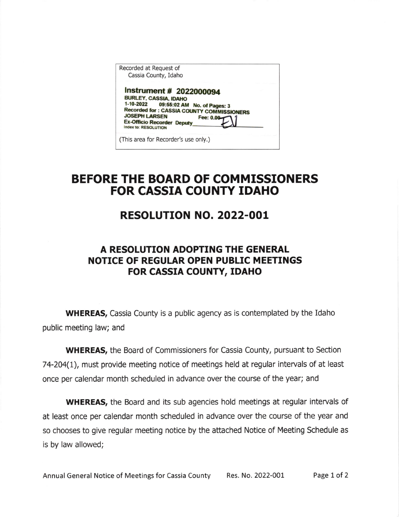| Recorded at Request of<br>Cassia County, Idaho                                                                                                                                                                                                         |  |
|--------------------------------------------------------------------------------------------------------------------------------------------------------------------------------------------------------------------------------------------------------|--|
| Instrument # 2022000094<br><b>BURLEY, CASSIA, IDAHO</b><br>1-10-2022 09:55:02 AM No. of Pages: 3<br><b>Recorded for: CASSIA COUNTY COMMISSIONERS</b><br><b>JOSEPH LARSEN</b><br>Fee: 0.00<br><b>Ex-Officio Recorder Deputy</b><br>Index to: RESOLUTION |  |
| (This area for Recorder's use only.)                                                                                                                                                                                                                   |  |

## BEFORE THE BOARD OF COMMISSIONERS FOR CASSIA COUNTY IDAHO

## RESOLUTION NO. 2O22-OOL

## A RESOLUTION ADOPTING THE GENERAL NOTICE OF REGULAR OPEN PUBLIC MEETINGS FOR CASSTA COUNTY, IDAHO

WHEREAS, Cassia County is a public agency as is contemplated by the Idaho public meeting law; and

WHEREAS, the Board of Commissioners for Cassia County, pursuant to Section 74-204(l), must provide meeting notice of meetings held at regular interuals of at least once per calendar month scheduled in advance over the course of the year; and

WHEREAS, the Board and its sub agencies hold meetings at regular intervals of at least once per calendar month scheduled in advance over the course of the year and so chooses to give regular meeting notice by the attached Notice of Meeting Schedule as is by law allowed;